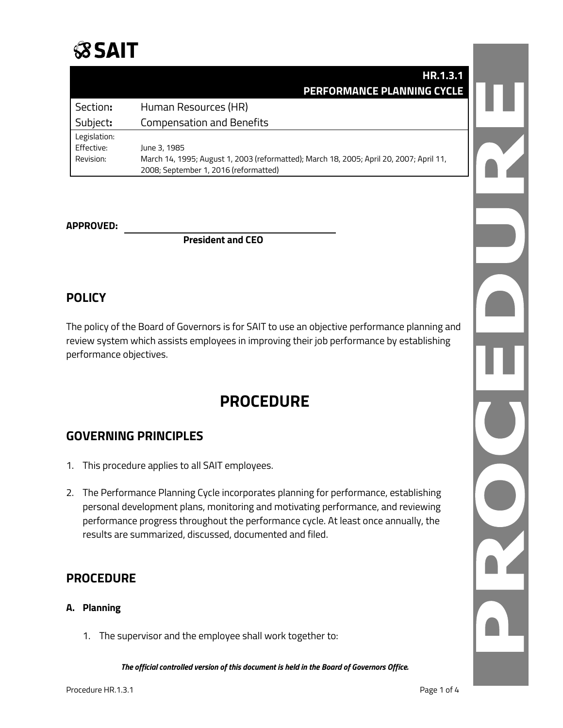

|              | HR.1.3.1                                                                                |  |
|--------------|-----------------------------------------------------------------------------------------|--|
|              | <b>PERFORMANCE PLANNING CYCLE</b>                                                       |  |
| Section:     | Human Resources (HR)                                                                    |  |
| Subject:     | <b>Compensation and Benefits</b>                                                        |  |
| Legislation: |                                                                                         |  |
| Effective:   | June 3, 1985                                                                            |  |
| Revision:    | March 14, 1995; August 1, 2003 (reformatted); March 18, 2005; April 20, 2007; April 11, |  |
|              | 2008; September 1, 2016 (reformatted)                                                   |  |

#### **APPROVED:**

**President and CEO**

## **POLICY**

The policy of the Board of Governors is for SAIT to use an objective performance planning and review system which assists employees in improving their job performance by establishing performance objectives.

## **PROCEDURE**

## **GOVERNING PRINCIPLES**

- 1. This procedure applies to all SAIT employees.
- 2. The Performance Planning Cycle incorporates planning for performance, establishing personal development plans, monitoring and motivating performance, and reviewing performance progress throughout the performance cycle. At least once annually, the results are summarized, discussed, documented and filed.

### **PROCEDURE**

#### **A. Planning**

1. The supervisor and the employee shall work together to: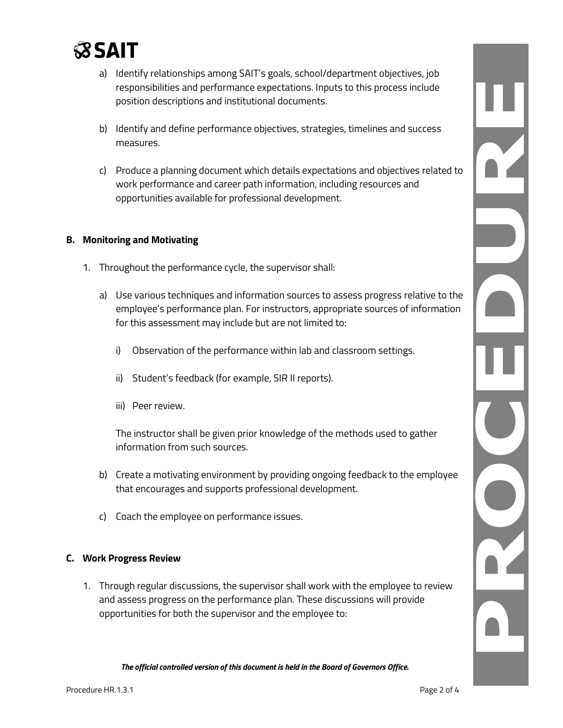

- a) Identify relationships among SAIT's goals, school/department objectives, job responsibilities and performance expectations. Inputs to this process include position descriptions and institutional documents.
- b) Identify and define performance objectives, strategies, timelines and success measures.
- c) Produce a planning document which details expectations and objectives related to work performance and career path information, including resources and opportunities available for professional development.

#### **B. Monitoring and Motivating**

- 1. Throughout the performance cycle, the supervisor shall:
	- a) Use various techniques and information sources to assess progress relative to the employee's performance plan. For instructors, appropriate sources of information for this assessment may include but are not limited to:
		- i) Observation of the performance within lab and classroom settings.
		- ii) Student's feedback (for example, SIR II reports).
		- iii) Peer review.

The instructor shall be given prior knowledge of the methods used to gather information from such sources.

- b) Create a motivating environment by providing ongoing feedback to the employee that encourages and supports professional development.
- c) Coach the employee on performance issues.

#### **C. Work Progress Review**

1. Through regular discussions, the supervisor shall work with the employee to review and assess progress on the performance plan. These discussions will provide opportunities for both the supervisor and the employee to: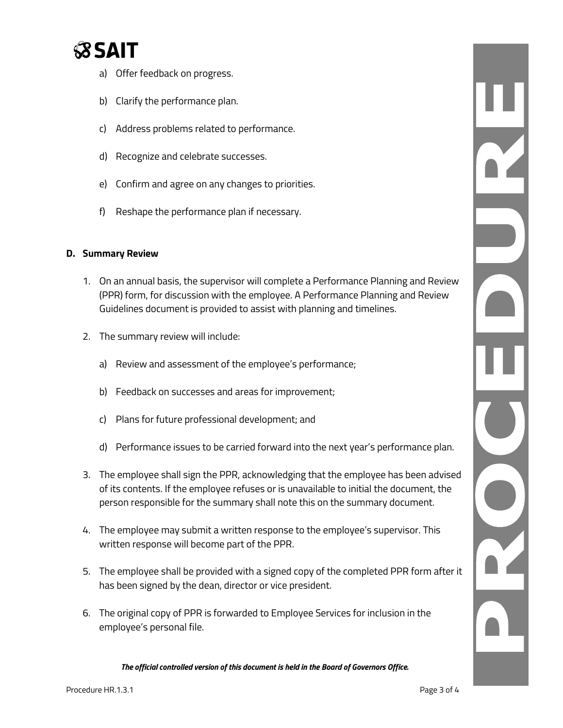

- a) Offer feedback on progress.
- b) Clarify the performance plan.
- c) Address problems related to performance.
- d) Recognize and celebrate successes.
- e) Confirm and agree on any changes to priorities.
- f) Reshape the performance plan if necessary.

#### **D. Summary Review**

- 1. On an annual basis, the supervisor will complete a Performance Planning and Review (PPR) form, for discussion with the employee. A Performance Planning and Review Guidelines document is provided to assist with planning and timelines.
- 2. The summary review will include:
	- a) Review and assessment of the employee's performance;
	- b) Feedback on successes and areas for improvement;
	- c) Plans for future professional development; and
	- d) Performance issues to be carried forward into the next year's performance plan.
- 3. The employee shall sign the PPR, acknowledging that the employee has been advised of its contents. If the employee refuses or is unavailable to initial the document, the person responsible for the summary shall note this on the summary document.
- 4. The employee may submit a written response to the employee's supervisor. This written response will become part of the PPR.
- 5. The employee shall be provided with a signed copy of the completed PPR form after it has been signed by the dean, director or vice president.
- 6. The original copy of PPR is forwarded to Employee Services for inclusion in the employee's personal file.